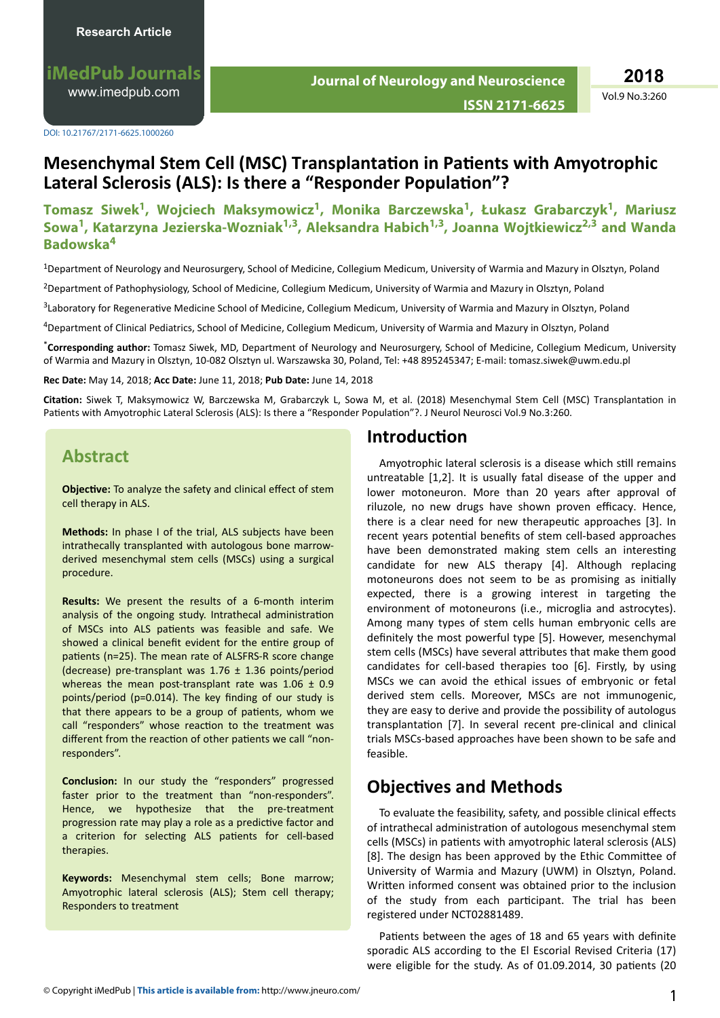**iMedPub Journals** [www.imedpub.com](http://www.imedpub.com/)

DOI: 10.21767/2171-6625.1000260

**2018**

**ISSN 2171-6625**

Vol.9 No.3:260

# **Mesenchymal Stem Cell (MSC) Transplantation in Patients with Amyotrophic Lateral Sclerosis (ALS): Is there a "Responder Population"?**

### **Tomasz Siwek<sup>1</sup> , Wojciech Maksymowicz<sup>1</sup> , Monika Barczewska<sup>1</sup> , Łukasz Grabarczyk<sup>1</sup> , Mariusz Sowa<sup>1</sup> , Katarzyna Jezierska-Wozniak1,3, Aleksandra Habich1,3, Joanna Wojtkiewicz2,3 and Wanda Badowska<sup>4</sup>**

<sup>1</sup>Department of Neurology and Neurosurgery, School of Medicine, Collegium Medicum, University of Warmia and Mazury in Olsztyn, Poland

<sup>2</sup>Department of Pathophysiology, School of Medicine, Collegium Medicum, University of Warmia and Mazury in Olsztyn, Poland

<sup>3</sup>Laboratory for Regenerative Medicine School of Medicine, Collegium Medicum, University of Warmia and Mazury in Olsztyn, Poland

<sup>4</sup>Department of Clinical Pediatrics, School of Medicine, Collegium Medicum, University of Warmia and Mazury in Olsztyn, Poland

\***Corresponding author:** Tomasz Siwek, MD, Department of Neurology and Neurosurgery, School of Medicine, Collegium Medicum, University of Warmia and Mazury in Olsztyn, 10-082 Olsztyn ul. Warszawska 30, Poland, Tel: +48 895245347; E-mail: tomasz.siwek@uwm.edu.pl

**Rec Date:** May 14, 2018; **Acc Date:** June 11, 2018; **Pub Date:** June 14, 2018

Citation: Siwek T, Maksymowicz W, Barczewska M, Grabarczyk L, Sowa M, et al. (2018) Mesenchymal Stem Cell (MSC) Transplantation in Patients with Amyotrophic Lateral Sclerosis (ALS): Is there a "Responder Population"?. J Neurol Neurosci Vol.9 No.3:260.

## **Abstract**

**Objective:** To analyze the safety and clinical effect of stem cell therapy in ALS.

**Methods:** In phase I of the trial, ALS subjects have been intrathecally transplanted with autologous bone marrowderived mesenchymal stem cells (MSCs) using a surgical procedure.

**Results:** We present the results of a 6-month interim analysis of the ongoing study. Intrathecal administration of MSCs into ALS patients was feasible and safe. We showed a clinical benefit evident for the entire group of patients (n=25). The mean rate of ALSFRS-R score change (decrease) pre-transplant was  $1.76 \pm 1.36$  points/period whereas the mean post-transplant rate was  $1.06 \pm 0.9$ points/period (p=0.014). The key finding of our study is that there appears to be a group of patients, whom we call "responders" whose reaction to the treatment was different from the reaction of other patients we call "nonresponders".

**Conclusion:** In our study the "responders" progressed faster prior to the treatment than "non-responders". Hence, we hypothesize that the pre-treatment progression rate may play a role as a predictive factor and a criterion for selecting ALS patients for cell-based therapies.

**Keywords:** Mesenchymal stem cells; Bone marrow; Amyotrophic lateral sclerosis (ALS); Stem cell therapy; Responders to treatment

## **Introduction**

Amyotrophic lateral sclerosis is a disease which still remains untreatable [1,2]. It is usually fatal disease of the upper and lower motoneuron. More than 20 years after approval of riluzole, no new drugs have shown proven efficacy. Hence, there is a clear need for new therapeutic approaches [3]. In recent years potential benefits of stem cell-based approaches have been demonstrated making stem cells an interesting candidate for new ALS therapy [4]. Although replacing motoneurons does not seem to be as promising as initially expected, there is a growing interest in targeting the environment of motoneurons (i.e., microglia and astrocytes). Among many types of stem cells human embryonic cells are definitely the most powerful type [5]. However, mesenchymal stem cells (MSCs) have several attributes that make them good candidates for cell-based therapies too [6]. Firstly, by using MSCs we can avoid the ethical issues of embryonic or fetal derived stem cells. Moreover, MSCs are not immunogenic, they are easy to derive and provide the possibility of autologus transplantation [7]. In several recent pre-clinical and clinical trials MSCs-based approaches have been shown to be safe and feasible.

# **C** $\Phi$  **B**  $\Phi$  and Methods

To evaluate the feasibility, safety, and possible clinical effects of intrathecal administration of autologous mesenchymal stem cells (MSCs) in patients with amyotrophic lateral sclerosis (ALS) [8]. The design has been approved by the Ethic Committee of University of Warmia and Mazury (UWM) in Olsztyn, Poland. Written informed consent was obtained prior to the inclusion of the study from each participant. The trial has been registered under NCT02881489.

Patients between the ages of 18 and 65 years with definite sporadic ALS according to the El Escorial Revised Criteria (17) were eligible for the study. As of 01.09.2014, 30 patients (20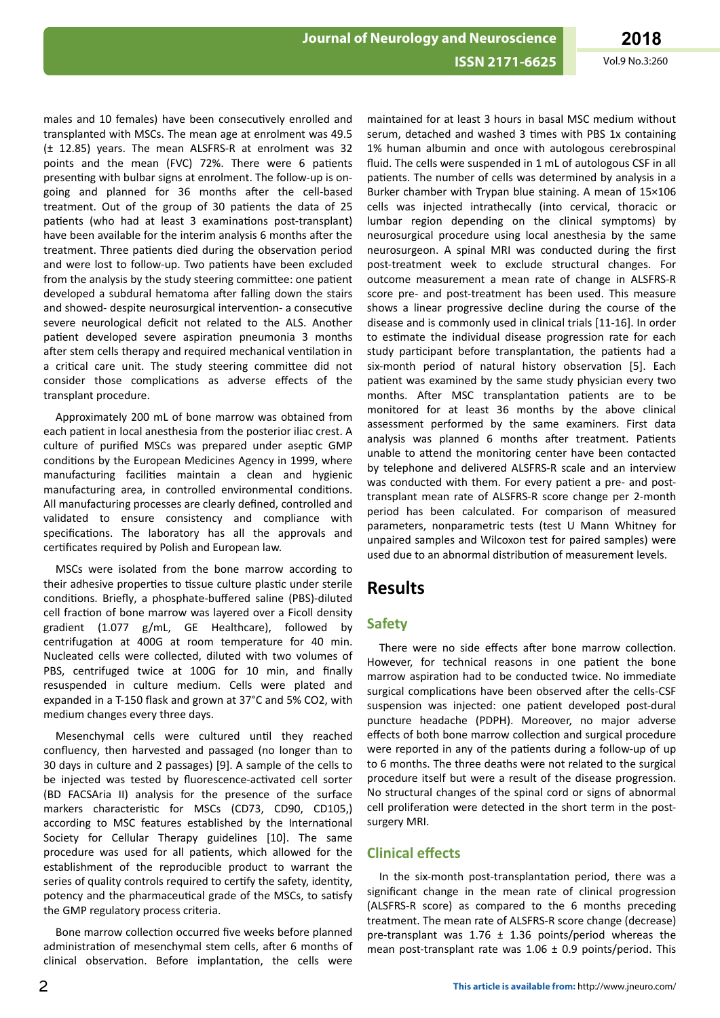#### **ISSN 2171-6625**

Vol.9 No.3:260

males and 10 females) have been consecutively enrolled and transplanted with MSCs. The mean age at enrolment was 49.5 (± 12.85) years. The mean ALSFRS-R at enrolment was 32 points and the mean (FVC) 72%. There were 6 patients presenting with bulbar signs at enrolment. The follow-up is ongoing and planned for 36 months after the cell-based treatment. Out of the group of 30 patients the data of 25 patients (who had at least 3 examinations post-transplant) have been available for the interim analysis 6 months after the treatment. Three patients died during the observation period and were lost to follow-up. Two patients have been excluded from the analysis by the study steering committee: one patient developed a subdural hematoma after falling down the stairs and showed- despite neurosurgical intervention- a consecutive severe neurological deficit not related to the ALS. Another patient developed severe aspiration pneumonia 3 months after stem cells therapy and required mechanical ventilation in a critical care unit. The study steering committee did not consider those complications as adverse effects of the transplant procedure.

Approximately 200 mL of bone marrow was obtained from each patient in local anesthesia from the posterior iliac crest. A culture of purified MSCs was prepared under aseptic GMP conditions by the European Medicines Agency in 1999, where manufacturing facilities maintain a clean and hygienic manufacturing area, in controlled environmental conditions. All manufacturing processes are clearly defined, controlled and validated to ensure consistency and compliance with specifications. The laboratory has all the approvals and certificates required by Polish and European law.

MSCs were isolated from the bone marrow according to their adhesive properties to tissue culture plastic under sterile conditions. Briefly, a phosphate-buffered saline (PBS)-diluted cell fraction of bone marrow was layered over a Ficoll density gradient (1.077 g/mL, GE Healthcare), followed by centrifugation at 400G at room temperature for 40 min. Nucleated cells were collected, diluted with two volumes of PBS, centrifuged twice at 100G for 10 min, and finally resuspended in culture medium. Cells were plated and expanded in a T-150 flask and grown at 37°C and 5% CO2, with medium changes every three days.

Mesenchymal cells were cultured until they reached confluency, then harvested and passaged (no longer than to 30 days in culture and 2 passages) [9]. A sample of the cells to be injected was tested by fluorescence-activated cell sorter (BD FACSAria II) analysis for the presence of the surface markers characteristic for MSCs (CD73, CD90, CD105,) according to MSC features established by the International Society for Cellular Therapy guidelines [10]. The same procedure was used for all patients, which allowed for the establishment of the reproducible product to warrant the series of quality controls required to certify the safety, identity, potency and the pharmaceutical grade of the MSCs, to satisfy the GMP regulatory process criteria.

Bone marrow collection occurred five weeks before planned administration of mesenchymal stem cells, after 6 months of clinical observation. Before implantation, the cells were

maintained for at least 3 hours in basal MSC medium without serum, detached and washed 3 times with PBS 1x containing 1% human albumin and once with autologous cerebrospinal fluid. The cells were suspended in 1 mL of autologous CSF in all patients. The number of cells was determined by analysis in a Burker chamber with Trypan blue staining. A mean of 15×106 cells was injected intrathecally (into cervical, thoracic or lumbar region depending on the clinical symptoms) by neurosurgical procedure using local anesthesia by the same neurosurgeon. A spinal MRI was conducted during the first post-treatment week to exclude structural changes. For outcome measurement a mean rate of change in ALSFRS-R score pre- and post-treatment has been used. This measure shows a linear progressive decline during the course of the disease and is commonly used in clinical trials [11-16]. In order to estimate the individual disease progression rate for each study participant before transplantation, the patients had a six-month period of natural history observation [5]. Each patient was examined by the same study physician every two months. After MSC transplantation patients are to be monitored for at least 36 months by the above clinical assessment performed by the same examiners. First data analysis was planned 6 months after treatment. Patients unable to attend the monitoring center have been contacted by telephone and delivered ALSFRS-R scale and an interview was conducted with them. For every patient a pre- and posttransplant mean rate of ALSFRS-R score change per 2-month period has been calculated. For comparison of measured parameters, nonparametric tests (test U Mann Whitney for unpaired samples and Wilcoxon test for paired samples) were used due to an abnormal distribution of measurement levels.

## **Results**

#### **Safety**

There were no side effects after bone marrow collection. However, for technical reasons in one patient the bone marrow aspiration had to be conducted twice. No immediate surgical complications have been observed after the cells-CSF suspension was injected: one patient developed post-dural puncture headache (PDPH). Moreover, no major adverse effects of both bone marrow collection and surgical procedure were reported in any of the patients during a follow-up of up to 6 months. The three deaths were not related to the surgical procedure itself but were a result of the disease progression. No structural changes of the spinal cord or signs of abnormal cell proliferation were detected in the short term in the postsurgery MRI.

#### **Clinical effects**

In the six-month post-transplantation period, there was a significant change in the mean rate of clinical progression (ALSFRS-R score) as compared to the 6 months preceding treatment. The mean rate of ALSFRS-R score change (decrease) pre-transplant was  $1.76 \pm 1.36$  points/period whereas the mean post-transplant rate was  $1.06 \pm 0.9$  points/period. This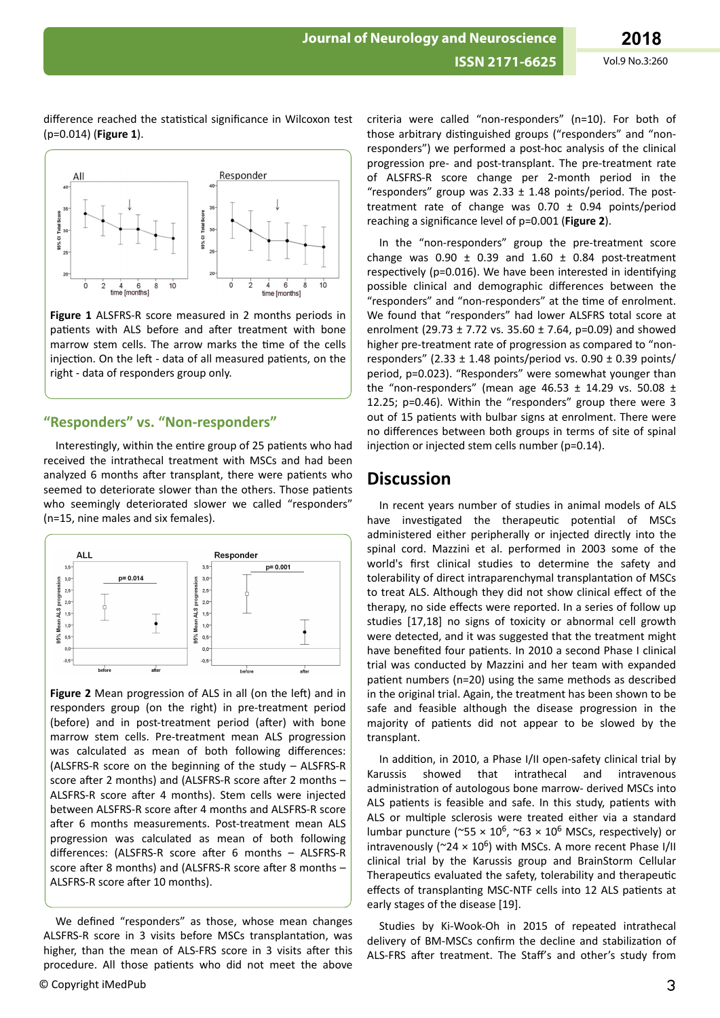difference reached the statistical significance in Wilcoxon test (p=0.014) (**Figure 1**).



**Figure 1** ALSFRS-R score measured in 2 months periods in patients with ALS before and after treatment with bone marrow stem cells. The arrow marks the time of the cells injection. On the left - data of all measured patients, on the right - data of responders group only.

#### **"Responders" vs. "Non-responders"**

Interestingly, within the entire group of 25 patients who had received the intrathecal treatment with MSCs and had been analyzed 6 months after transplant, there were patients who seemed to deteriorate slower than the others. Those patients who seemingly deteriorated slower we called "responders" (n=15, nine males and six females).



Figure 2 Mean progression of ALS in all (on the left) and in responders group (on the right) in pre-treatment period (before) and in post-treatment period (after) with bone marrow stem cells. Pre-treatment mean ALS progression was calculated as mean of both following differences: (ALSFRS-R score on the beginning of the study – ALSFRS-R score after 2 months) and (ALSFRS-R score after 2 months – ALSFRS-R score after 4 months). Stem cells were injected between ALSFRS-R score after 4 months and ALSFRS-R score after 6 months measurements. Post-treatment mean ALS progression was calculated as mean of both following differences: (ALSFRS-R score after 6 months – ALSFRS-R score after 8 months) and (ALSFRS-R score after 8 months – ALSFRS-R score after 10 months).

We defined "responders" as those, whose mean changes ALSFRS-R score in 3 visits before MSCs transplantation, was higher, than the mean of ALS-FRS score in 3 visits after this procedure. All those patients who did not meet the above

criteria were called "non-responders" (n=10). For both of those arbitrary distinguished groups ("responders" and "nonresponders") we performed a post-hoc analysis of the clinical progression pre- and post-transplant. The pre-treatment rate of ALSFRS-R score change per 2-month period in the "responders" group was  $2.33 \pm 1.48$  points/period. The posttreatment rate of change was  $0.70 \pm 0.94$  points/period reaching a significance level of p=0.001 (**Figure 2**).

In the "non-responders" group the pre-treatment score change was  $0.90 \pm 0.39$  and  $1.60 \pm 0.84$  post-treatment respectively (p=0.016). We have been interested in identifying possible clinical and demographic differences between the "responders" and "non-responders" at the time of enrolment. We found that "responders" had lower ALSFRS total score at enrolment (29.73  $\pm$  7.72 vs. 35.60  $\pm$  7.64, p=0.09) and showed higher pre-treatment rate of progression as compared to "nonresponders" (2.33  $\pm$  1.48 points/period vs. 0.90  $\pm$  0.39 points/ period, p=0.023). "Responders" were somewhat younger than the "non-responders" (mean age  $46.53 \pm 14.29$  vs. 50.08  $\pm$ 12.25; p=0.46). Within the "responders" group there were 3 out of 15 patients with bulbar signs at enrolment. There were no differences between both groups in terms of site of spinal injection or injected stem cells number (p=0.14).

## **Discussion**

In recent years number of studies in animal models of ALS have investigated the therapeutic potential of MSCs administered either peripherally or injected directly into the spinal cord. Mazzini et al. performed in 2003 some of the world's first clinical studies to determine the safety and tolerability of direct intraparenchymal transplantation of MSCs to treat ALS. Although they did not show clinical effect of the therapy, no side effects were reported. In a series of follow up studies [17,18] no signs of toxicity or abnormal cell growth were detected, and it was suggested that the treatment might have benefited four patients. In 2010 a second Phase I clinical trial was conducted by Mazzini and her team with expanded patient numbers (n=20) using the same methods as described in the original trial. Again, the treatment has been shown to be safe and feasible although the disease progression in the majority of patients did not appear to be slowed by the transplant.

In addition, in 2010, a Phase I/II open-safety clinical trial by Karussis showed that intrathecal and intravenous administration of autologous bone marrow- derived MSCs into ALS patients is feasible and safe. In this study, patients with ALS or multiple sclerosis were treated either via a standard lumbar puncture (~55  $\times$  10<sup>6</sup>, ~63  $\times$  10<sup>6</sup> MSCs, respectively) or intravenously ( $24 \times 10^6$ ) with MSCs. A more recent Phase I/II clinical trial by the Karussis group and BrainStorm Cellular Therapeutics evaluated the safety, tolerability and therapeutic effects of transplanting MSC-NTF cells into 12 ALS patients at early stages of the disease [19].

Studies by Ki-Wook-Oh in 2015 of repeated intrathecal delivery of BM-MSCs confirm the decline and stabilization of ALS-FRS after treatment. The Staff's and other's study from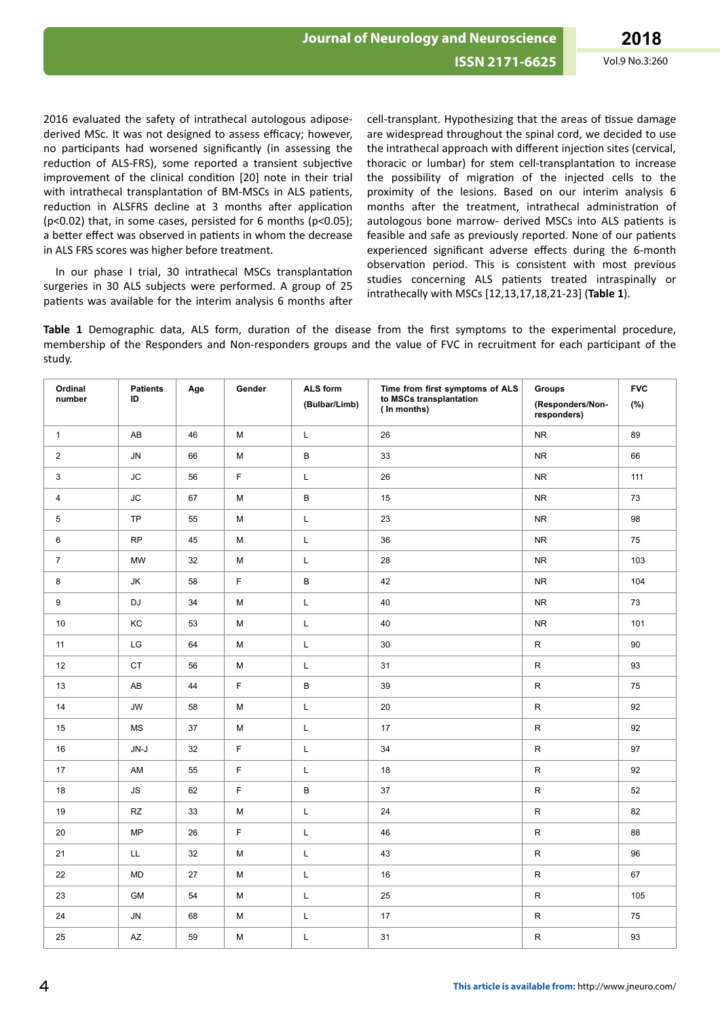Vol.9 No.3:260

2016 evaluated the safety of intrathecal autologous adiposederived MSc. It was not designed to assess efficacy; however, no participants had worsened significantly (in assessing the reduction of ALS-FRS), some reported a transient subjective improvement of the clinical condition [20] note in their trial with intrathecal transplantation of BM-MSCs in ALS patients, reduction in ALSFRS decline at 3 months after application (p<0.02) that, in some cases, persisted for 6 months (p<0.05); a better effect was observed in patients in whom the decrease in ALS FRS scores was higher before treatment.

In our phase I trial, 30 intrathecal MSCs transplantation surgeries in 30 ALS subjects were performed. A group of 25 patients was available for the interim analysis 6 months after

cell-transplant. Hypothesizing that the areas of tissue damage are widespread throughout the spinal cord, we decided to use the intrathecal approach with different injection sites (cervical, thoracic or lumbar) for stem cell-transplantation to increase the possibility of migration of the injected cells to the proximity of the lesions. Based on our interim analysis 6 months after the treatment, intrathecal administration of autologous bone marrow- derived MSCs into ALS patients is feasible and safe as previously reported. None of our patients experienced significant adverse effects during the 6-month observation period. This is consistent with most previous studies concerning ALS patients treated intraspinally or intrathecally with MSCs [12,13,17,18,21-23] (Table 1).

Table 1 Demographic data, ALS form, duration of the disease from the first symptoms to the experimental procedure, membership of the Responders and Non-responders groups and the value of FVC in recruitment for each participant of the study.

| Ordinal<br>number | Patients<br>ID         | Age    | Gender      | ALS form<br>(Bulbar/Limb) | Time from first symptoms of ALS<br>to MSCs transplantation<br>(In months) | Groups<br>(Responders/Non-<br>responders) | <b>FVC</b><br>(%) |
|-------------------|------------------------|--------|-------------|---------------------------|---------------------------------------------------------------------------|-------------------------------------------|-------------------|
| $\mathbf{1}$      | AB                     | 46     | ${\sf M}$   | L                         | 26                                                                        | <b>NR</b>                                 | 89                |
| $\overline{2}$    | <b>JN</b>              | 66     | M           | B                         | 33                                                                        | <b>NR</b>                                 | 66                |
| $\mathbf{3}$      | JС                     | 56     | $\mathsf F$ | L                         | 26                                                                        | ${\sf NR}$                                | 111               |
| $\overline{4}$    | <b>JC</b>              | 67     | M           | $\sf B$                   | 15                                                                        | <b>NR</b>                                 | 73                |
| 5                 | TP                     | 55     | ${\sf M}$   | L                         | 23                                                                        | ${\sf NR}$                                | 98                |
| 6                 | <b>RP</b>              | 45     | M           | L                         | 36                                                                        | <b>NR</b>                                 | 75                |
| $\overline{7}$    | MW                     | 32     | M           | L                         | 28                                                                        | <b>NR</b>                                 | 103               |
| $\bf8$            | JK                     | 58     | $\mathsf F$ | $\sf B$                   | 42                                                                        | <b>NR</b>                                 | 104               |
| 9                 | DJ                     | $34\,$ | М           | L                         | 40                                                                        | ${\sf NR}$                                | 73                |
| 10                | KC                     | 53     | M           | L                         | 40                                                                        | <b>NR</b>                                 | 101               |
| 11                | LG                     | 64     | M           | L                         | 30                                                                        | ${\sf R}$                                 | 90                |
| 12                | <b>CT</b>              | 56     | M           | L                         | 31                                                                        | ${\sf R}$                                 | 93                |
| 13                | AB                     | 44     | $\mathsf F$ | B                         | 39                                                                        | ${\sf R}$                                 | 75                |
| 14                | <b>JW</b>              | 58     | M           | L                         | 20                                                                        | ${\sf R}$                                 | 92                |
| 15                | $\mathsf{MS}\xspace$   | 37     | M           | L                         | $17\,$                                                                    | ${\sf R}$                                 | 92                |
| 16                | $JN-J$                 | 32     | $\mathsf F$ | L                         | 34                                                                        | ${\sf R}$                                 | 97                |
| 17                | AM                     | 55     | $\mathsf F$ | Г                         | $18\,$                                                                    | ${\sf R}$                                 | 92                |
| 18                | ${\sf JS}$             | 62     | F           | $\mathsf B$               | 37                                                                        | ${\sf R}$                                 | 52                |
| 19                | $\mathsf{R}\mathsf{Z}$ | 33     | M           | L                         | 24                                                                        | ${\sf R}$                                 | 82                |
| 20                | <b>MP</b>              | 26     | $\mathsf F$ | L                         | 46                                                                        | ${\sf R}$                                 | 88                |
| 21                | LL                     | 32     | M           | L                         | 43                                                                        | ${\sf R}$                                 | 96                |
| 22                | <b>MD</b>              | 27     | M           | L                         | 16                                                                        | ${\sf R}$                                 | 67                |
| 23                | <b>GM</b>              | 54     | M           | L                         | 25                                                                        | ${\sf R}$                                 | 105               |
| 24                | <b>JN</b>              | 68     | ${\sf M}$   | L                         | $17\,$                                                                    | ${\sf R}$                                 | 75                |
| 25                | AZ                     | 59     | M           | L                         | 31                                                                        | ${\sf R}$                                 | 93                |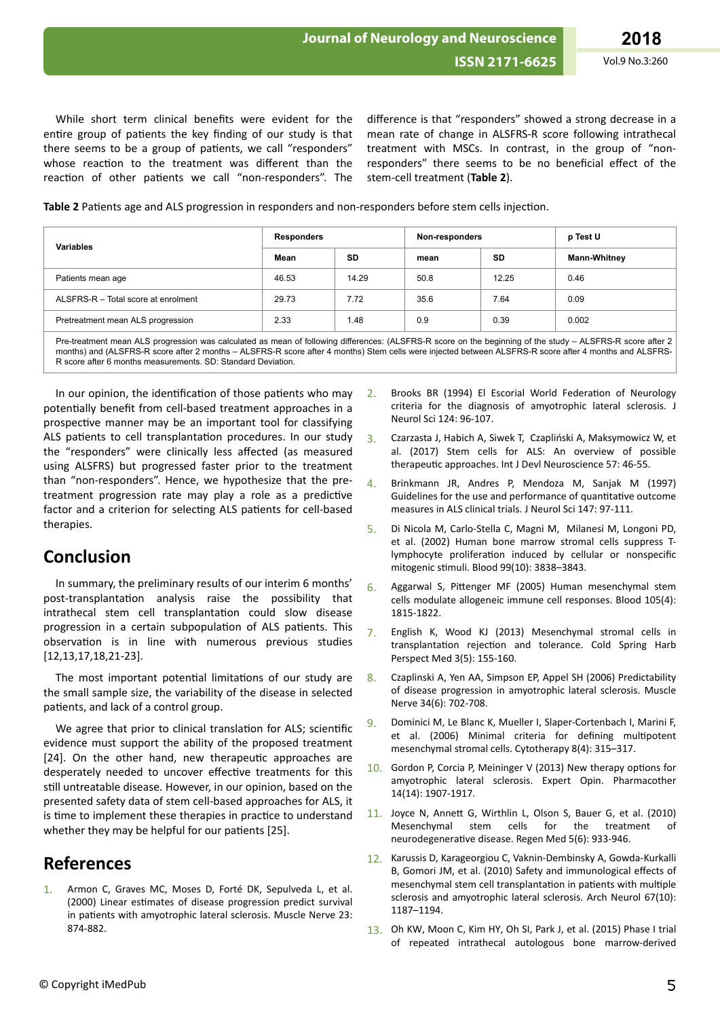While short term clinical benefits were evident for the entire group of patients the key finding of our study is that there seems to be a group of patients, we call "responders" whose reaction to the treatment was different than the reaction of other patients we call "non-responders". The difference is that "responders" showed a strong decrease in a mean rate of change in ALSFRS-R score following intrathecal treatment with MSCs. In contrast, in the group of "nonresponders" there seems to be no beneficial effect of the stem-cell treatment (**Table 2**).

**Table 2** Patients age and ALS progression in responders and non-responders before stem cells injection.

| <b>Variables</b>                    | <b>Responders</b> |           | Non-responders |           | p Test U            |
|-------------------------------------|-------------------|-----------|----------------|-----------|---------------------|
|                                     | Mean              | <b>SD</b> | mean           | <b>SD</b> | <b>Mann-Whitney</b> |
| Patients mean age                   | 46.53             | 14.29     | 50.8           | 12.25     | 0.46                |
| ALSFRS-R - Total score at enrolment | 29.73             | 7.72      | 35.6           | 7.64      | 0.09                |
| Pretreatment mean ALS progression   | 2.33              | 1.48      | 0.9            | 0.39      | 0.002               |

Pre-treatment mean ALS progression was calculated as mean of following differences: (ALSFRS-R score on the beginning of the study – ALSFRS-R score after 2 months) and (ALSFRS-R score after 2 months – ALSFRS-R score after 4 months) Stem cells were injected between ALSFRS-R score after 4 months and ALSFRS-R score after 6 months measurements. SD: Standard Deviation.

In our opinion, the identification of those patients who may potentially benefit from cell-based treatment approaches in a prospective manner may be an important tool for classifying ALS patients to cell transplantation procedures. In our study the "responders" were clinically less affected (as measured using ALSFRS) but progressed faster prior to the treatment than "non-responders". Hence, we hypothesize that the pretreatment progression rate may play a role as a predictive factor and a criterion for selecting ALS patients for cell-based therapies.

## **Conclusion**

In summary, the preliminary results of our interim 6 months' post-transplantation analysis raise the possibility that intrathecal stem cell transplantation could slow disease progression in a certain subpopulation of ALS patients. This observation is in line with numerous previous studies [12,13,17,18,21-23].

The most important potential limitations of our study are the small sample size, the variability of the disease in selected patients, and lack of a control group.

We agree that prior to clinical translation for ALS; scientific evidence must support the ability of the proposed treatment [24]. On the other hand, new therapeutic approaches are desperately needed to uncover effective treatments for this still untreatable disease. However, in our opinion, based on the presented safety data of stem cell-based approaches for ALS, it is time to implement these therapies in practice to understand whether they may be helpful for our patients [25].

# **References**

Armon C, Graves MC, Moses D, Forté DK, Sepulveda L, et al. (2000) Linear estimates of disease progression predict survival in patients with amyotrophic lateral sclerosis. Muscle Nerve 23: 874-882.

- 2. Brooks BR (1994) El Escorial World Federation of Neurology criteria for the diagnosis of amyotrophic lateral sclerosis. J Neurol Sci 124: 96-107.
- 3. Czarzasta J, Habich A, Siwek T, Czapliński A, Maksymowicz W, et al. (2017) Stem cells for ALS: An overview of possible therapeutic approaches. Int J Devl Neuroscience 57: 46-55.
- 4. Brinkmann JR, Andres P, Mendoza M, Sanjak M (1997) Guidelines for the use and performance of quantitative outcome measures in ALS clinical trials. J Neurol Sci 147: 97-111.
- 5. Di Nicola M, Carlo-Stella C, Magni M, Milanesi M, Longoni PD, et al. (2002) Human bone marrow stromal cells suppress Tlymphocyte proliferation induced by cellular or nonspecific mitogenic stimuli. Blood 99(10): 3838-3843.
- 6. Aggarwal S, Pittenger MF (2005) Human mesenchymal stem cells modulate allogeneic immune cell responses. Blood 105(4): 1815-1822.
- 7. English K, Wood KJ (2013) Mesenchymal stromal cells in transplantation rejection and tolerance. Cold Spring Harb Perspect Med 3(5): 155-160.
- 8. Czaplinski A, Yen AA, Simpson EP, Appel SH (2006) Predictability of disease progression in amyotrophic lateral sclerosis. Muscle Nerve 34(6): 702-708.
- 9. Dominici M, Le Blanc K, Mueller I, Slaper-Cortenbach I, Marini F, et al. (2006) Minimal criteria for defining multipotent mesenchymal stromal cells. Cytotherapy 8(4): 315–317.
- 10. Gordon P, Corcia P, Meininger V (2013) New therapy options for amyotrophic lateral sclerosis. Expert Opin. Pharmacother 14(14): 1907-1917.
- 11. Joyce N, Annett G, Wirthlin L, Olson S, Bauer G, et al. (2010) Mesenchymal stem cells for the treatment of neurodegenerative disease. Regen Med 5(6): 933-946.
- 12. Karussis D, Karageorgiou C, Vaknin-Dembinsky A, Gowda-Kurkalli B, Gomori JM, et al. (2010) Safety and immunological effects of mesenchymal stem cell transplantation in patients with multiple sclerosis and amyotrophic lateral sclerosis. Arch Neurol 67(10): 1187–1194.
- 13. [Oh KW](https://www.ncbi.nlm.nih.gov/pubmed/?term=Oh%20KW%5BAuthor%5D&cauthor=true&cauthor_uid=25934946), [Moon C,](https://www.ncbi.nlm.nih.gov/pubmed/?term=Moon%20C%5BAuthor%5D&cauthor=true&cauthor_uid=25934946) [Kim HY,](https://www.ncbi.nlm.nih.gov/pubmed/?term=Kim%20HY%5BAuthor%5D&cauthor=true&cauthor_uid=25934946) [Oh SI](https://www.ncbi.nlm.nih.gov/pubmed/?term=Oh%20SI%5BAuthor%5D&cauthor=true&cauthor_uid=25934946), [Park J](https://www.ncbi.nlm.nih.gov/pubmed/?term=Park%20J%5BAuthor%5D&cauthor=true&cauthor_uid=25934946), et al. (2015) Phase I trial of repeated intrathecal autologous bone marrow-derived